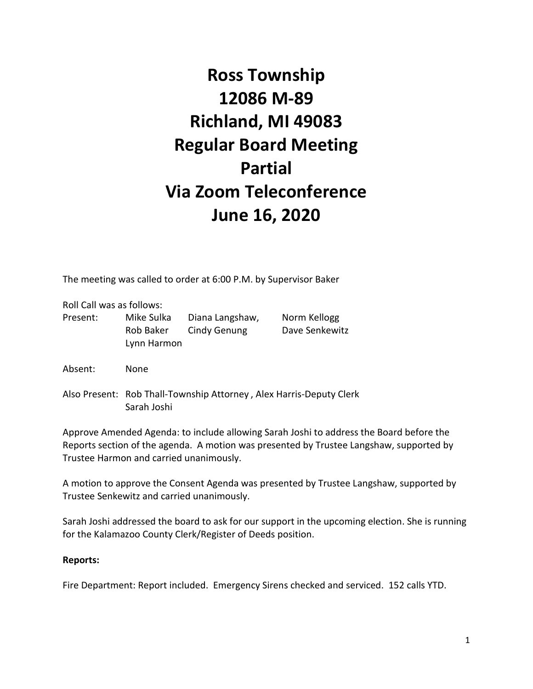# **Ross Township 12086 M-89 Richland, MI 49083 Regular Board Meeting Partial Via Zoom Teleconference June 16, 2020**

The meeting was called to order at 6:00 P.M. by Supervisor Baker

Roll Call was as follows:

| Present: | Mike Sulka  | Diana Langshaw, | Norm Kellogg   |
|----------|-------------|-----------------|----------------|
|          | Rob Baker   | Cindy Genung    | Dave Senkewitz |
|          | Lynn Harmon |                 |                |
|          |             |                 |                |

Absent: None

Also Present: Rob Thall-Township Attorney , Alex Harris-Deputy Clerk Sarah Joshi

Approve Amended Agenda: to include allowing Sarah Joshi to address the Board before the Reports section of the agenda. A motion was presented by Trustee Langshaw, supported by Trustee Harmon and carried unanimously.

A motion to approve the Consent Agenda was presented by Trustee Langshaw, supported by Trustee Senkewitz and carried unanimously.

Sarah Joshi addressed the board to ask for our support in the upcoming election. She is running for the Kalamazoo County Clerk/Register of Deeds position.

#### **Reports:**

Fire Department: Report included. Emergency Sirens checked and serviced. 152 calls YTD.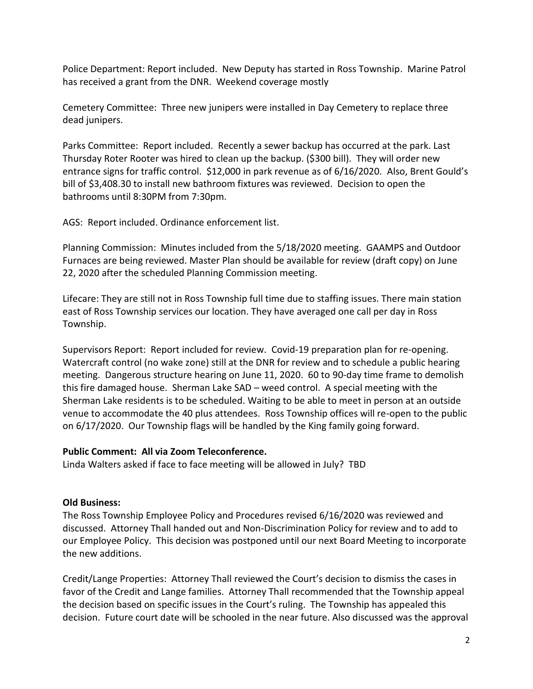Police Department: Report included. New Deputy has started in Ross Township. Marine Patrol has received a grant from the DNR. Weekend coverage mostly

Cemetery Committee: Three new junipers were installed in Day Cemetery to replace three dead junipers.

Parks Committee: Report included. Recently a sewer backup has occurred at the park. Last Thursday Roter Rooter was hired to clean up the backup. (\$300 bill). They will order new entrance signs for traffic control. \$12,000 in park revenue as of 6/16/2020. Also, Brent Gould's bill of \$3,408.30 to install new bathroom fixtures was reviewed. Decision to open the bathrooms until 8:30PM from 7:30pm.

AGS: Report included. Ordinance enforcement list.

Planning Commission: Minutes included from the 5/18/2020 meeting. GAAMPS and Outdoor Furnaces are being reviewed. Master Plan should be available for review (draft copy) on June 22, 2020 after the scheduled Planning Commission meeting.

Lifecare: They are still not in Ross Township full time due to staffing issues. There main station east of Ross Township services our location. They have averaged one call per day in Ross Township.

Supervisors Report: Report included for review. Covid-19 preparation plan for re-opening. Watercraft control (no wake zone) still at the DNR for review and to schedule a public hearing meeting. Dangerous structure hearing on June 11, 2020. 60 to 90-day time frame to demolish this fire damaged house. Sherman Lake SAD – weed control. A special meeting with the Sherman Lake residents is to be scheduled. Waiting to be able to meet in person at an outside venue to accommodate the 40 plus attendees. Ross Township offices will re-open to the public on 6/17/2020. Our Township flags will be handled by the King family going forward.

## **Public Comment: All via Zoom Teleconference.**

Linda Walters asked if face to face meeting will be allowed in July? TBD

## **Old Business:**

The Ross Township Employee Policy and Procedures revised 6/16/2020 was reviewed and discussed. Attorney Thall handed out and Non-Discrimination Policy for review and to add to our Employee Policy. This decision was postponed until our next Board Meeting to incorporate the new additions.

Credit/Lange Properties: Attorney Thall reviewed the Court's decision to dismiss the cases in favor of the Credit and Lange families. Attorney Thall recommended that the Township appeal the decision based on specific issues in the Court's ruling. The Township has appealed this decision. Future court date will be schooled in the near future. Also discussed was the approval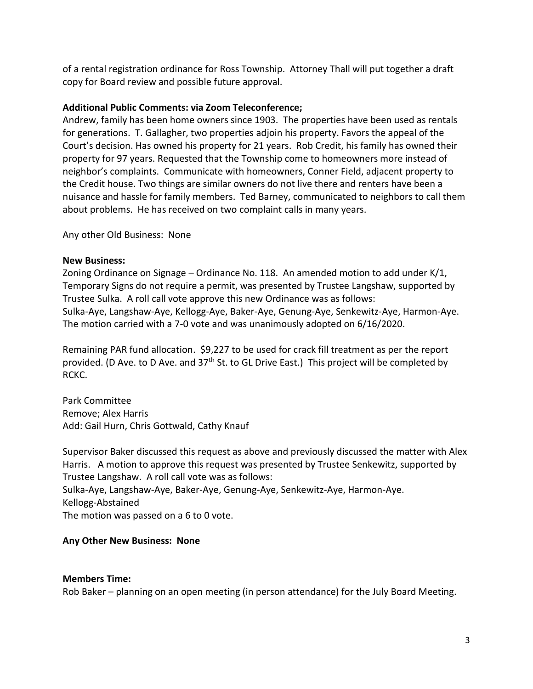of a rental registration ordinance for Ross Township. Attorney Thall will put together a draft copy for Board review and possible future approval.

## **Additional Public Comments: via Zoom Teleconference;**

Andrew, family has been home owners since 1903. The properties have been used as rentals for generations. T. Gallagher, two properties adjoin his property. Favors the appeal of the Court's decision. Has owned his property for 21 years. Rob Credit, his family has owned their property for 97 years. Requested that the Township come to homeowners more instead of neighbor's complaints. Communicate with homeowners, Conner Field, adjacent property to the Credit house. Two things are similar owners do not live there and renters have been a nuisance and hassle for family members. Ted Barney, communicated to neighbors to call them about problems. He has received on two complaint calls in many years.

Any other Old Business: None

#### **New Business:**

Zoning Ordinance on Signage – Ordinance No. 118. An amended motion to add under K/1, Temporary Signs do not require a permit, was presented by Trustee Langshaw, supported by Trustee Sulka. A roll call vote approve this new Ordinance was as follows: Sulka-Aye, Langshaw-Aye, Kellogg-Aye, Baker-Aye, Genung-Aye, Senkewitz-Aye, Harmon-Aye. The motion carried with a 7-0 vote and was unanimously adopted on 6/16/2020.

Remaining PAR fund allocation. \$9,227 to be used for crack fill treatment as per the report provided. (D Ave. to D Ave. and  $37<sup>th</sup>$  St. to GL Drive East.) This project will be completed by RCKC.

Park Committee Remove; Alex Harris Add: Gail Hurn, Chris Gottwald, Cathy Knauf

Supervisor Baker discussed this request as above and previously discussed the matter with Alex Harris. A motion to approve this request was presented by Trustee Senkewitz, supported by Trustee Langshaw. A roll call vote was as follows: Sulka-Aye, Langshaw-Aye, Baker-Aye, Genung-Aye, Senkewitz-Aye, Harmon-Aye. Kellogg-Abstained The motion was passed on a 6 to 0 vote.

## **Any Other New Business: None**

#### **Members Time:**

Rob Baker – planning on an open meeting (in person attendance) for the July Board Meeting.